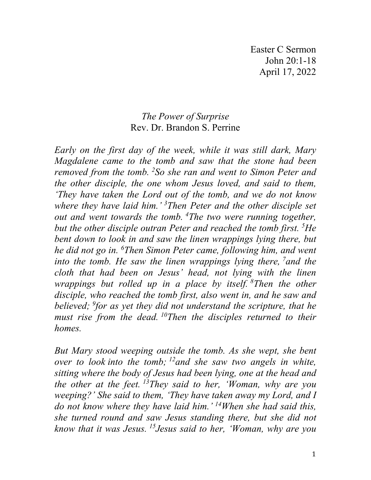Easter C Sermon John 20:1-18 April 17, 2022

## *The Power of Surprise* Rev. Dr. Brandon S. Perrine

*Early on the first day of the week, while it was still dark, Mary Magdalene came to the tomb and saw that the stone had been removed from the tomb. <sup>2</sup> So she ran and went to Simon Peter and the other disciple, the one whom Jesus loved, and said to them, 'They have taken the Lord out of the tomb, and we do not know where they have laid him.' 3 Then Peter and the other disciple set out and went towards the tomb. <sup>4</sup> The two were running together, but the other disciple outran Peter and reached the tomb first. <sup>5</sup> He bent down to look in and saw the linen wrappings lying there, but he did not go in. 6 Then Simon Peter came, following him, and went into the tomb. He saw the linen wrappings lying there, <sup>7</sup> and the cloth that had been on Jesus' head, not lying with the linen wrappings but rolled up in a place by itself. <sup>8</sup> Then the other disciple, who reached the tomb first, also went in, and he saw and believed; 9 for as yet they did not understand the scripture, that he must rise from the dead. 10Then the disciples returned to their homes.*

*But Mary stood weeping outside the tomb. As she wept, she bent over to look into the tomb; 12and she saw two angels in white, sitting where the body of Jesus had been lying, one at the head and the other at the feet. 13They said to her, 'Woman, why are you weeping?' She said to them, 'They have taken away my Lord, and I do not know where they have laid him.' 14When she had said this, she turned round and saw Jesus standing there, but she did not know that it was Jesus. 15Jesus said to her, 'Woman, why are you*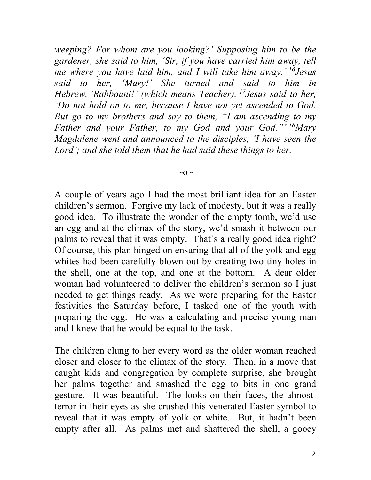*weeping? For whom are you looking?' Supposing him to be the gardener, she said to him, 'Sir, if you have carried him away, tell me where you have laid him, and I will take him away.' 16Jesus said to her, 'Mary!' She turned and said to him in Hebrew, 'Rabbouni!' (which means Teacher). 17Jesus said to her, 'Do not hold on to me, because I have not yet ascended to God. But go to my brothers and say to them, "I am ascending to my Father and your Father, to my God and your God."' 18Mary Magdalene went and announced to the disciples, 'I have seen the Lord'; and she told them that he had said these things to her.*

 $\sim$ O $\sim$ 

A couple of years ago I had the most brilliant idea for an Easter children's sermon. Forgive my lack of modesty, but it was a really good idea. To illustrate the wonder of the empty tomb, we'd use an egg and at the climax of the story, we'd smash it between our palms to reveal that it was empty. That's a really good idea right? Of course, this plan hinged on ensuring that all of the yolk and egg whites had been carefully blown out by creating two tiny holes in the shell, one at the top, and one at the bottom. A dear older woman had volunteered to deliver the children's sermon so I just needed to get things ready. As we were preparing for the Easter festivities the Saturday before, I tasked one of the youth with preparing the egg. He was a calculating and precise young man and I knew that he would be equal to the task.

The children clung to her every word as the older woman reached closer and closer to the climax of the story. Then, in a move that caught kids and congregation by complete surprise, she brought her palms together and smashed the egg to bits in one grand gesture. It was beautiful. The looks on their faces, the almostterror in their eyes as she crushed this venerated Easter symbol to reveal that it was empty of yolk or white. But, it hadn't been empty after all. As palms met and shattered the shell, a gooey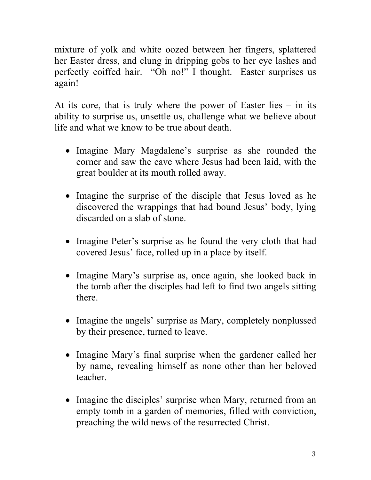mixture of yolk and white oozed between her fingers, splattered her Easter dress, and clung in dripping gobs to her eye lashes and perfectly coiffed hair. "Oh no!" I thought. Easter surprises us again!

At its core, that is truly where the power of Easter lies  $-$  in its ability to surprise us, unsettle us, challenge what we believe about life and what we know to be true about death.

- Imagine Mary Magdalene's surprise as she rounded the corner and saw the cave where Jesus had been laid, with the great boulder at its mouth rolled away.
- Imagine the surprise of the disciple that Jesus loved as he discovered the wrappings that had bound Jesus' body, lying discarded on a slab of stone.
- Imagine Peter's surprise as he found the very cloth that had covered Jesus' face, rolled up in a place by itself.
- Imagine Mary's surprise as, once again, she looked back in the tomb after the disciples had left to find two angels sitting there.
- Imagine the angels' surprise as Mary, completely nonplussed by their presence, turned to leave.
- Imagine Mary's final surprise when the gardener called her by name, revealing himself as none other than her beloved teacher.
- Imagine the disciples' surprise when Mary, returned from an empty tomb in a garden of memories, filled with conviction, preaching the wild news of the resurrected Christ.